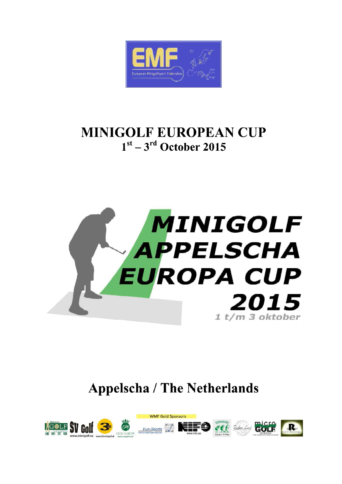

## **MINIGOLF EUROPEAN CUP**  $1<sup>st</sup> - 3<sup>rd</sup>$  October 2015



# **Appelscha / The Netherlands**

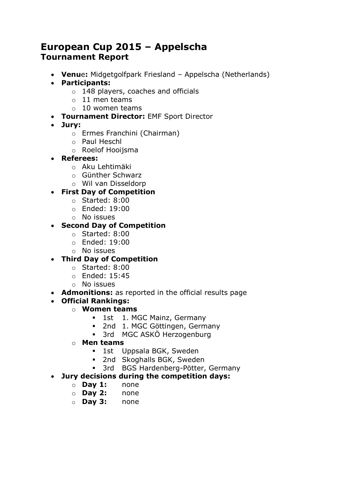### **European Cup 2015 – Appelscha Tournament Report**

- **Venu**e**:** Midgetgolfpark Friesland Appelscha (Netherlands)
- **Participants:**
	- o 148 players, coaches and officials
	- $\circ$  11 men teams
	- $\circ$  10 women teams
- **Tournament Director:** EMF Sport Director
- **Jury:**
	- o Ermes Franchini (Chairman)
	- o Paul Heschl
	- o Roelof Hooijsma
- **Referees:**
	- o Aku Lehtimäki
	- o Günther Schwarz
	- o Wil van Disseldorp

#### **First Day of Competition**

- o Started: 8:00
- o Ended: 19:00
- o No issues

#### **Second Day of Competition**

- o Started: 8:00
- o Ended: 19:00
- o No issues

#### **Third Day of Competition**

- o Started: 8:00
- o Ended: 15:45
- o No issues
- **Admonitions:** as reported in the official results page

#### **Official Rankings:**

- o **Women teams**
	- **1st** 1. MGC Mainz, Germany
	- 2nd 1. MGC Göttingen, Germany
	- 3rd MGC ASKÖ Herzogenburg
- o **Men teams**
	- **1st** Uppsala BGK, Sweden
	- **2nd Skoghalls BGK, Sweden**
	- 3rd BGS Hardenberg-Pötter, Germany

#### **Jury decisions during the competition days:**

- o **Day 1:** none
- o **Day 2:** none
- o **Day 3:** none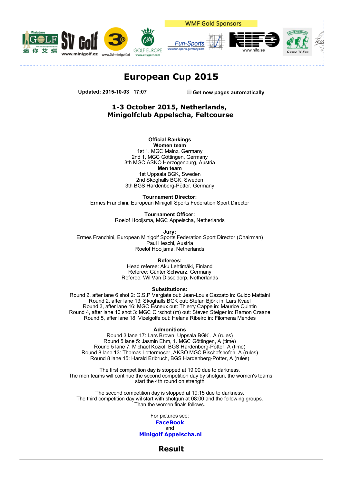



WMF Gold Sponsors





#### European Cup 2015

Updated: 2015-10-03 17:07 Get new pages automatically

#### 13 October 2015, Netherlands, Minigolfclub Appelscha, Feltcourse

**Official Rankings** Women team

1st 1. MGC Mainz, Germany 2nd 1, MGC Göttingen, Germany 3th MGC ASKÖ Herzogenburg, Austria Men team 1st Uppsala BGK, Sweden 2nd Skoghalls BGK, Sweden 3th BGS Hardenberg-Pötter, Germany

Tournament Director:

Ermes Franchini, European Minigolf Sports Federation Sport Director

Tournament Officer: Roelof Hooijsma, MGC Appelscha, Netherlands

Jury:

Ermes Franchini, European Minigolf Sports Federation Sport Director (Chairman) Paul Heschl, Austria Roelof Hooijsma, Netherlands

Referees:

Head referee: Aku Lehtimäki. Finland Referee: Günter Schwarz, Germany Referee: Wil Van Disseldorp, Netherlands

Substitutions:

Round 2, after lane 6 shot 2: G.S.P Vergiate out: Jean-Louis Cazzato in: Guido Mattaini Round 2, after lane 13: Skoghalls BGK out: Stefan Björk in: Lars Kvael Round 3, after lane 16: MGC Esneux out: Thierry Cappe in: Maurice Quintin Round 4, after lane 10 shot 3: MGC Oirschot (m) out: Steven Steiger in: Ramon Craane Round 5, after lane 18: Vizelgolfe out: Helana Ribeiro in: Filomena Mendes

**Admonitions** 

Round 3 Iane 17: Lars Brown, Uppsala BGK, A (rules) Round 5 lane 5: Jasmin Ehm, 1. MGC Göttingen, A (time) Round 5 lane 7: Michael Koziol, BGS Hardenberg-Pötter, A (time) Round 8 lane 13: Thomas Lottermoser, AKSÖ MGC Bischofshofen, A (rules) Round 8 lane 15: Harald Erlbruch, BGS Hardenberg-Pötter, A (rules)

The first competition day is stopped at 19.00 due to darkness. The men teams will continue the second competition day by shotgun, the women's teams start the 4th round on strength

The second competition day is stopped at 19:15 due to darkness. The third competition day wil start with shotgun at 08:00 and the following groups. Than the women finals follows.

> For pictures see: [FaceBook](https://www.facebook.com/pages/Minigolfclub-Appelscha/127726980640663/) and Minigolf [Appelscha.nl](http://www.minigolfappelscha.nl/ec-2015/fotos)

> > Result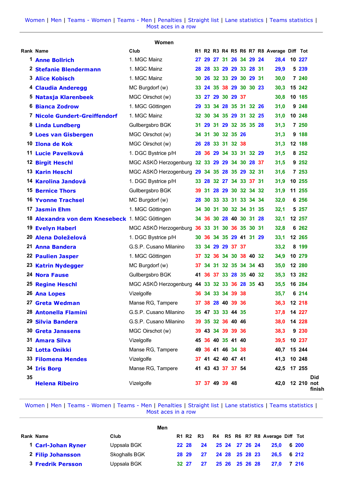|    |                                                 | Women                                         |                         |  |  |  |                                          |         |                      |
|----|-------------------------------------------------|-----------------------------------------------|-------------------------|--|--|--|------------------------------------------|---------|----------------------|
|    | <b>Rank Name</b>                                | Club                                          |                         |  |  |  | R1 R2 R3 R4 R5 R6 R7 R8 Average Diff Tot |         |                      |
|    | <b>1 Anne Bollrich</b>                          | 1. MGC Mainz                                  | 27 29 27 31 26 34 29 24 |  |  |  | 28.4 10 227                              |         |                      |
|    | 2 Stefanie Blendermann                          | 1. MGC Mainz                                  | 28 28 33 29 29 33 28 31 |  |  |  | 29,9                                     | 5 239   |                      |
|    | <b>3 Alice Kobisch</b>                          | 1. MGC Mainz                                  | 30 26 32 33 29 30 29 31 |  |  |  | 30,0                                     | 7 240   |                      |
|    | 4 Claudia Anderegg                              | MC Burgdorf (w)                               | 33 24 35 38 29 30 30 23 |  |  |  | 30,3                                     | 15 242  |                      |
|    | <sup>5</sup> Natasja Klarenbeek                 | MGC Oirschot (w)                              | 33 27 29 30 29 37       |  |  |  | 30,8                                     | 10 185  |                      |
|    | <b>6 Bianca Zodrow</b>                          | 1. MGC Göttingen                              | 29 33 34 28 35 31 32 26 |  |  |  | 31,0                                     | 9 248   |                      |
|    | 7 Nicole Gundert-Greiffendorf                   | 1. MGC Mainz                                  | 32 30 34 35 29 31 32 25 |  |  |  | 31,0                                     | 10 248  |                      |
|    | 8 Linda Lundberg                                | Gullbergsbro BGK                              | 31 29 31 29 32 35 35 28 |  |  |  | 31,3                                     | 7 250   |                      |
|    | 9 Loes van Gisbergen                            | MGC Oirschot (w)                              | 34 31 30 32 35 26       |  |  |  | 31,3                                     | 9 188   |                      |
|    | 10 Ilona de Kok                                 | MGC Oirschot (w)                              | 26 28 33 31 32 38       |  |  |  | 31,3                                     | 12 188  |                      |
|    | 11 Lucie Pavelková                              | 1. DGC Bystrice p/H                           | 28 36 29 34 33 31 32 29 |  |  |  | 31,5                                     | 8 2 5 2 |                      |
|    | <b>12 Birgit Heschl</b>                         | MGC ASKÖ Herzogenburg 32 33 29 29 34 30 28 37 |                         |  |  |  | 31,5                                     | 9 252   |                      |
|    | <b>13 Karin Heschl</b>                          | MGC ASKÖ Herzogenburg 29 34 35 28 35 29 32 31 |                         |  |  |  | 31,6                                     | 7 253   |                      |
|    | 14 Karolina Jandová                             | 1. DGC Bystrice p/H                           | 33 28 32 27 34 33 37 31 |  |  |  | 31,9                                     | 10 255  |                      |
|    | <b>15 Bernice Thors</b>                         | Gullbergsbro BGK                              | 39 31 28 29 30 32 34 32 |  |  |  | 31,9                                     | 11 255  |                      |
|    | 16 Yvonne Trachsel                              | MC Burgdorf (w)                               | 28 30 33 33 31 33 34 34 |  |  |  | 32,0                                     | 6 256   |                      |
|    | <b>17 Jasmin Ehm</b>                            | 1. MGC Göttingen                              | 34 30 31 30 32 34 31 35 |  |  |  | 32,1                                     | 5 257   |                      |
|    | 18 Alexandra von dem Knesebeck 1. MGC Göttingen |                                               | 34 36 30 28 40 30 31 28 |  |  |  | 32,1                                     | 12 257  |                      |
|    | <b>19 Evelyn Haberl</b>                         | MGC ASKÖ Herzogenburg 36 33 31 30 36 35 30 31 |                         |  |  |  | 32,8                                     | 6 262   |                      |
|    | 20 Alena Doleželová                             | 1. DGC Bystrice p/H                           | 30 36 34 35 29 41 31 29 |  |  |  | 33,1                                     | 12 265  |                      |
|    | 21 Anna Bandera                                 | G.S.P. Cusano Milanino                        | 33 34 29 29 37 37       |  |  |  | 33,2                                     | 8 199   |                      |
|    | <b>22 Paulien Jasper</b>                        | 1. MGC Göttingen                              | 37 32 36 34 30 38 40 32 |  |  |  | 34,9                                     | 10 279  |                      |
|    | 23 Katrin Nydegger                              | MC Burgdorf (w)                               | 37 34 31 32 35 34 34 43 |  |  |  | 35,0                                     | 12 280  |                      |
|    | <b>24 Nora Fause</b>                            | Gullbergsbro BGK                              | 41 36 37 33 28 35 40 32 |  |  |  | 35,3                                     | 13 282  |                      |
|    | <b>25 Regine Heschl</b>                         | MGC ASKÖ Herzogenburg 44 33 32 33 36 28 35 43 |                         |  |  |  | 35,5                                     | 16 284  |                      |
|    | 26 Ana Lopes                                    | Vizelgolfe                                    | 36 34 33 34 39 38       |  |  |  | 35,7                                     | 6 214   |                      |
|    | 27 Greta Wedman                                 | Manse RG, Tampere                             | 37 38 28 40 39 36       |  |  |  | 36,3 12 218                              |         |                      |
|    | 28 Antonella Flamini                            | G.S.P. Cusano Milanino                        | 35 47 33 33 44 35       |  |  |  | 37,8                                     | 14 227  |                      |
|    | 29 Silvia Bandera                               | G.S.P. Cusano Milanino                        | 39 35 32 36 40 46       |  |  |  | 38,0 14 228                              |         |                      |
|    | <b>30 Greta Janssens</b>                        | MGC Oirschot (w)                              | 39 43 34 39 39 36       |  |  |  | 38,3                                     | 9 2 3 0 |                      |
|    | 31 Amara Silva                                  | Vizelgolfe                                    | 45 36 40 35 41 40       |  |  |  | 39.5                                     | 10 237  |                      |
|    | 32 Lotta Onikki                                 | Manse RG, Tampere                             | 49 36 41 46 34 38       |  |  |  | 40,7 15 244                              |         |                      |
|    | <b>33 Filomena Mendes</b>                       | Vizelgolfe                                    | 37 41 42 40 47 41       |  |  |  | 41,3 10 248                              |         |                      |
|    | 34 Iris Borg                                    | Manse RG, Tampere                             | 41 43 43 37 37 54       |  |  |  | 42,5 17 255                              |         |                      |
| 35 | <b>Helena Ribeiro</b>                           | Vizelgolfe                                    | 37 37 49 39 48          |  |  |  | 42,0 12 210 not                          |         | <b>Did</b><br>finish |

|                          |               | Men |       |                         |  |                |  |                                 |  |
|--------------------------|---------------|-----|-------|-------------------------|--|----------------|--|---------------------------------|--|
| Rank Name                | Club          |     |       | R1 R2 R3                |  |                |  | R4 R5 R6 R7 R8 Average Diff Tot |  |
| 1 Carl-Johan Ryner       | Uppsala BGK   |     |       | 22 28 24 25 24 27 26 24 |  |                |  | 25.0 6 200                      |  |
| 2 Filip Johansson        | Skoghalls BGK |     | 28 29 | $\sim$ 27 $\sim$        |  | 24 28 25 28 23 |  | 26.5 6 212                      |  |
| <b>3 Fredrik Persson</b> | Uppsala BGK   |     | 32 27 | 27                      |  | 25 26 25 26 28 |  | 27.0 7 216                      |  |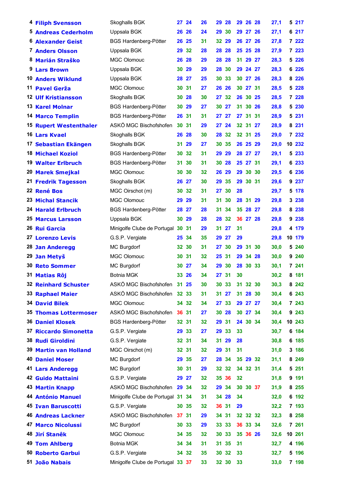| <b>4 Filiph Svensson</b>      | Skoghalls BGK                     | 27 24 |       | 26 | 29    | <b>28</b> |    | 29 26 28 | 27,1 |    | 5 217   |
|-------------------------------|-----------------------------------|-------|-------|----|-------|-----------|----|----------|------|----|---------|
| <b>5 Andreas Cederholm</b>    | Uppsala BGK                       | 26 26 |       | 24 | 29    | 30        |    | 29 27 26 | 27,1 |    | 6 217   |
| <b>6 Alexander Geist</b>      | <b>BGS Hardenberg-Pötter</b>      | 26    | 25    | 31 | 32    | 29        |    | 26 27 26 | 27,8 |    | 7 222   |
| 7 Anders Olsson               | Uppsala BGK                       | 29 32 |       | 28 | 28    | 28        |    | 25 25 28 | 27,9 |    | 7 223   |
| 8 Marián Straško              | MGC Olomouc                       | 26 28 |       | 29 | 28 28 |           |    | 31 29 27 | 28,3 |    | 5 2 2 6 |
| 9 Lars Brown                  | Uppsala BGK                       | 30 29 |       | 29 | 28    | 30        |    | 29 24 27 | 28,3 |    | 6 2 2 6 |
| <b>10 Anders Wiklund</b>      | Uppsala BGK                       | 28 27 |       | 25 | 30    | 33        | 30 | 27 26    | 28,3 | 8  | 226     |
| 11 Pavel Gerža                | <b>MGC Olomouc</b>                | 30 31 |       | 27 | 26 26 |           |    | 30 27 31 | 28,5 |    | 5 2 2 8 |
| <b>12 Ulf Kristiansson</b>    | Skoghalls BGK                     | 30    | 28    | 30 | 27 32 |           |    | 26 30 25 | 28,5 |    | 7 228   |
| 13 Karel Molnar               | <b>BGS Hardenberg-Pötter</b>      | 30    | 29    | 27 | 30    | 27        | 31 | 30 26    | 28,8 |    | 5 230   |
| <b>14 Marco Templin</b>       | <b>BGS Hardenberg-Pötter</b>      | 26 31 |       | 31 | 27 27 |           |    | 27 31 31 | 28,9 |    | 5 2 3 1 |
| <b>15 Rupert Westenthaler</b> | ASKÖ MGC Bischofshofen            | 30 31 |       | 29 | 27 24 |           |    | 32 31 27 | 28,9 |    | 8 231   |
| 16 Lars Kvael                 | Skoghalls BGK                     | 26    | 28    | 30 | 28    | 32        |    | 32 31 25 | 29,0 |    | 7 232   |
| 17 Sebastian Ekängen          | Skoghalls BGK                     | 31    | 29    | 27 | 30    | 35        |    | 26 25 29 | 29,0 | 10 | 232     |
| 18 Michael Koziol             | <b>BGS Hardenberg-Pötter</b>      | 30    | -32   | 31 | 29    | 29        |    | 28 27 27 | 29,1 |    | 5 233   |
| <b>19 Walter Erlbruch</b>     | <b>BGS Hardenberg-Pötter</b>      | 31    | 30    | 31 | 30    | 28        |    | 25 27 31 | 29,1 |    | 6 233   |
| 20 Marek Smejkal              | <b>MGC Olomouc</b>                | 30    | 30    | 32 | 26    | 29        | 29 | 30 30    | 29,5 |    | 6 236   |
| 21 Fredrik Tagesson           | Skoghalls BGK                     | 26 27 |       | 30 | 29    | 35        |    | 29 30 31 | 29,6 |    | 9 237   |
| 22 René Bos                   | MGC Oirschot (m)                  | 30 32 |       | 31 | 27    | -30       | 28 |          | 29,7 |    | 5 178   |
| 23 Michal Stancik             | <b>MGC Olomouc</b>                | 29    | 29    | 31 | 31    | 30        |    | 28 31 29 | 29,8 |    | 3 238   |
| <b>24 Harald Erlbruch</b>     | <b>BGS Hardenberg-Pötter</b>      | 28    | 27    | 28 | 31    | 34        | 35 | 28 27    | 29,8 | 8  | 238     |
| <b>25 Marcus Larsson</b>      | Uppsala BGK                       | 30 29 |       | 28 | 28 32 |           |    | 36 27 28 | 29,8 |    | 9 238   |
| 26 Rui Garcia                 | Minigolfe Clube de Portugal 30 31 |       |       | 29 | 31    | 27        | 31 |          | 29,8 |    | 4 179   |
| <b>27 Lorenzo Levis</b>       | G.S.P. Vergiate                   | 25    | 34    | 35 | 29    | 27        | 29 |          | 29,8 |    | 10 179  |
| <b>28 Jan Anderegg</b>        | MC Burgdorf                       | 32 30 |       | 31 | 27 30 |           |    | 29 31 30 | 30,0 | 5  | 240     |
| 29 Jan Metyš                  | <b>MGC Olomouc</b>                | 30 31 |       | 32 | 25 31 |           |    | 29 34 28 | 30,0 |    | 9 240   |
| <b>30 Reto Sommer</b>         | MC Burgdorf                       | 30    | 27    | 34 | 29    | 30        | 28 | 30 33    | 30,1 |    | 7 241   |
| 31 Matias Rôj                 | Botnia MGK                        |       | 33 26 | 34 | 27 31 |           | 30 |          | 30,2 |    | 8 181   |
| <b>32 Reinhard Schuster</b>   | ASKÖ MGC Bischofshofen 31 25      |       |       | 30 | 30 33 |           |    | 31 32 30 | 30,3 |    | 8 2 4 2 |
| <b>33 Raphael Maier</b>       | ASKÖ MGC Bischofshofen 32 33      |       |       | 31 | 31 27 |           |    | 31 28 30 | 30,4 |    | 6 243   |
| <b>34 David Bilek</b>         | <b>MGC Olomouc</b>                |       | 34 32 | 34 | 27    | 33        |    | 29 27 27 | 30,4 |    | 7 243   |
| <b>35 Thomas Lottermoser</b>  | ASKÖ MGC Bischofshofen            | 36 31 |       | 27 | 30 28 |           |    | 30 27 34 | 30,4 |    | 9 2 4 3 |
| <b>36 Daniel Klosek</b>       | <b>BGS Hardenberg-Pötter</b>      | 32 31 |       | 32 | 29 31 |           |    | 24 30 34 | 30,4 |    | 10 243  |
| 37 Riccardo Simonetta         | G.S.P. Vergiate                   | 29 33 |       | 27 | 29 33 |           | 33 |          | 30,7 |    | 6 184   |
| 38 Rudi Giroldini             | G.S.P. Vergiate                   | 32 31 |       | 34 | 31 29 |           | 28 |          | 30,8 |    | 6 185   |
| <b>39 Martin van Holland</b>  | MGC Oirschot (m)                  | 32 31 |       | 32 | 29 31 |           | 31 |          | 31,0 |    | 3 186   |
| <b>40 Daniel Moser</b>        | <b>MC Burgdorf</b>                | 29 35 |       | 27 | 28 34 |           |    | 35 29 32 | 31,1 |    | 8 2 4 9 |
| <b>41 Lars Anderegg</b>       | MC Burgdorf                       | 30 31 |       | 29 | 32 32 |           |    | 34 32 31 | 31,4 |    | 5 251   |
| 42 Guido Mattaini             | G.S.P. Vergiate                   | 29 27 |       | 32 | 35 36 |           | 32 |          | 31,8 |    | 9 191   |
| <b>43 Martin Knapp</b>        | ASKÖ MGC Bischofshofen 29 34      |       |       | 32 | 29 34 |           |    | 30 30 37 | 31,9 |    | 8 2 5 5 |
| 44 António Manuel             | Minigolfe Clube de Portugal 31 34 |       |       | 31 | 34 28 |           | 34 |          | 32,0 |    | 6 192   |
| <b>45 Ivan Baruscotti</b>     | G.S.P. Vergiate                   | 30 35 |       | 32 | 36 31 |           | 29 |          | 32,2 |    | 7 193   |
| <b>46 Andreas Lackner</b>     | ASKÖ MGC Bischofshofen            | 37 31 |       | 29 | 34 31 |           |    | 32 32 32 | 32,3 |    | 8 2 5 8 |
| <b>47 Marco Nicolussi</b>     | <b>MC Burgdorf</b>                | 30 33 |       | 29 | 33 33 |           |    | 36 33 34 | 32,6 |    | 7 261   |
| 48 Jirí Stanêk                | MGC Olomouc                       |       | 34 35 | 32 | 30    | 33        |    | 35 36 26 | 32,6 |    | 10 261  |
| 49 Tom Ahlberg                | <b>Botnia MGK</b>                 |       | 3434  | 31 | 31 35 |           | 31 |          | 32,7 |    | 4 196   |
| 50 Roberto Garbui             | G.S.P. Vergiate                   |       | 34 32 | 35 | 30 32 |           | 33 |          | 32,7 |    | 5 196   |
| 51 João Nabais                | Minigolfe Clube de Portugal 33 37 |       |       | 33 | 32 30 |           | 33 |          | 33,0 |    | 7 198   |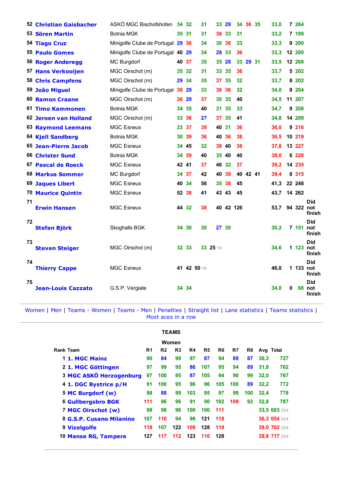|    | 52 Christian Gaisbacher   | ASKÖ MGC Bischofshofen         |    | 34 32       | 31       |    | 33 29     | 34              | 36 35    | 33,0        |          | 7 264   |                                    |
|----|---------------------------|--------------------------------|----|-------------|----------|----|-----------|-----------------|----------|-------------|----------|---------|------------------------------------|
|    | 53 Sören Martin           | Botnia MGK                     |    | 35 31       | 31       |    | 38 33     | 31              |          | 33,2        |          | 7 199   |                                    |
|    | 54 Tiago Cruz             | Minigolfe Clube de Portugal 29 |    | 36          | 34       | 30 | 38        | 33              |          | 33,3        |          | 9 200   |                                    |
|    | 55 Paulo Gomes            | Minigolfe Clube de Portugal 40 |    | 29          | 34       | 28 | 33        | 36              |          | 33,3        |          | 12 200  |                                    |
|    | <b>56 Roger Anderegg</b>  | <b>MC Burgdorf</b>             |    | 40 37       | 35       |    | 35 28     |                 | 33 29 31 | 33,5        |          | 12 268  |                                    |
|    | <b>57 Hans Verkooijen</b> | MGC Oirschot (m)               | 35 | 32          | 31       | 33 | 35        | 36              |          | 33,7        |          | 5 202   |                                    |
|    | <b>58 Chris Campfens</b>  | MGC Oirschot (m)               | 29 | 34          | 35       |    | 37 35     | 32              |          | 33,7        |          | 8 202   |                                    |
|    | 59 João Miguel            | Minigolfe Clube de Portugal    | 38 | 29          | 33       | 36 | 36        | $32\phantom{a}$ |          | 34,0        |          | 9 204   |                                    |
|    | <b>60 Ramon Craane</b>    | MGC Oirschot (m)               |    | 36 29       | 37       |    | 30 35     | 40              |          | 34,5        |          | 11 207  |                                    |
|    | 61 Timo Kammonen          | <b>Botnia MGK</b>              | 34 | 35          | 40       | 31 | 35        | 33              |          | 34,7        |          | 9 208   |                                    |
|    | 62 Jeroen van Holland     | MGC Oirschot (m)               |    | 33 36       | 27       |    | 37 35     | 41              |          | 34,8        |          | 14 209  |                                    |
|    | <b>63 Raymond Leemans</b> | <b>MGC Esneux</b>              |    | 33 37       | 39       |    | 40 31     | 36              |          | 36,0        |          | 9 216   |                                    |
|    | <b>64 Kjell Sandberg</b>  | <b>Botnia MGK</b>              |    | 30 39       | 36       |    | 40 36     | 38              |          | 36,5        |          | 10 219  |                                    |
|    | 65 Jean-Pierre Jacob      | <b>MGC Esneux</b>              |    | 34 45       | 32       | 38 | 40        | 38              |          | 37,8        |          | 13 227  |                                    |
|    | <b>66 Christer Sund</b>   | <b>Botnia MGK</b>              |    | 34 39       | 40       |    | 35 40     | 40              |          | 38,0        |          | 6 228   |                                    |
|    | 67 Pascal de Roeck        | <b>MGC Esneux</b>              |    | 42 41       | 37       |    | 46 32     | 37              |          | 39,2        |          | 14 235  |                                    |
|    | 68 Markus Sommer          | MC Burgdorf                    |    | 34 37       | 42       | 40 | 39        |                 | 40 42 41 | 39,4        |          | 8 3 1 5 |                                    |
|    | <b>69 Jaques Libert</b>   | <b>MGC Esneux</b>              |    | 40 34       | 56       |    | 35 38     | 45              |          | 41,3        |          | 22 248  |                                    |
|    | <b>70 Maurice Quintin</b> | <b>MGC Esneux</b>              |    | 52 38       | 41       |    | 43 43     | 45              |          | 43,7 14 262 |          |         |                                    |
| 71 | <b>Erwin Hansen</b>       | <b>MGC Esneux</b>              |    | 44 32       | 38       |    | 40 42 126 |                 |          | 53.7        |          |         | <b>Did</b><br>94 322 not<br>finish |
| 72 | <b>Stefan Björk</b>       | Skoghalls BGK                  | 34 | 30          | 30       |    | 27 30     |                 |          | 30,2        |          |         | <b>Did</b><br>7 151 not<br>finish  |
| 73 | <b>Steven Steiger</b>     | MGC Oirschot (m)               |    | 32 33       | 33 25 10 |    |           |                 |          | 34,6        |          |         | <b>Did</b><br>1 123 not<br>finish  |
| 74 | <b>Thierry Cappe</b>      | <b>MGC Esneux</b>              |    | 41 42 50 16 |          |    |           |                 |          | 46,0        |          |         | <b>Did</b><br>1 133 not<br>finish  |
| 75 | <b>Jean-Louis Cazzato</b> | G.S.P. Vergiate                |    | 34 34       |          |    |           |                 |          | 34,0        | $\bf{0}$ |         | <b>Did</b><br>68 not<br>finish     |

|                                |     |                | <b>TEAMS</b> |     |                |     |     |     |      |              |
|--------------------------------|-----|----------------|--------------|-----|----------------|-----|-----|-----|------|--------------|
|                                |     |                | Women        |     |                |     |     |     |      |              |
| Rank Team                      | R1  | R <sub>2</sub> | R3           | R4  | R <sub>5</sub> | R6  | R7  | R8  |      | Avg Total    |
| 1 1. MGC Mainz                 | 90  | 84             | 99           | 97  | 87             | 94  | 89  | 87  | 30.3 | 727          |
| 2 1. MGC Göttingen             | 97  | 99             | 95           | 86  | 107            | 95  | 94  | 89  | 31,8 | 762          |
| <b>3 MGC ASKÖ Herzogenburg</b> | 97  | 100            | 95           | 87  | 105            | 94  | 90  | 99  | 32.0 | 767          |
| 4 1. DGC Bystrice p/H          | 91  | 100            | 95           | 96  | 96             | 105 | 100 | 89  | 32,2 | 772          |
| 5 MC Burgdorf (w)              | 98  | 88             | 99           | 103 | 95             | 97  | 98  | 100 | 32.4 | 778          |
| <b>6 Gullbergsbro BGK</b>      | 111 | 96             | 96           | 91  | 90             | 102 | 109 | 92  | 32.8 | 787          |
| 7 MGC Oirschot (w)             | 98  | 98             | 96           | 100 | 100            | 111 |     |     |      | 33,5 603 324 |
| 8 G.S.P. Cusano Milanino       | 107 | 116            | 94           | 98  | 121            | 118 |     |     |      | 36,3 654 324 |
| 9 Vizelgolfe                   | 118 | 107            | 122          | 108 | 128            | 119 |     |     |      | 39,0 702 324 |
| 10 Manse RG, Tampere           | 127 | 117            | 112          | 123 | 110            | 128 |     |     |      | 39,8 717 324 |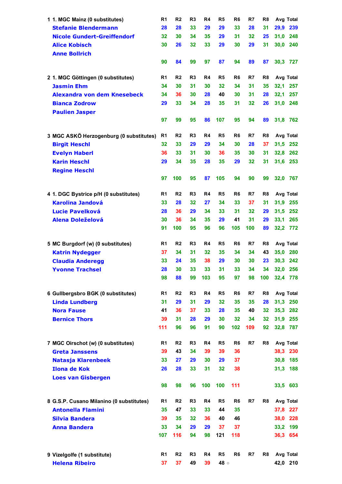| 1 1. MGC Mainz (0 substitutes)           | R1       | R <sub>2</sub>       | R <sub>3</sub> | R4       | R <sub>5</sub> | R6             | R7       | R8       | Avg Total                  |
|------------------------------------------|----------|----------------------|----------------|----------|----------------|----------------|----------|----------|----------------------------|
| <b>Stefanie Blendermann</b>              | 28       | 28                   | 33             | 29       | 29             | 33             | 28       | 31       | 29,9<br>239                |
| <b>Nicole Gundert-Greiffendorf</b>       | 32       | 30                   | 34             | 35       | 29             | 31             | 32       | 25       | 31,0<br>248                |
| <b>Alice Kobisch</b>                     | 30       | 26                   | 32             | 33       | 29             | 30             | 29       | 31       | 30,0<br>240                |
| <b>Anne Bollrich</b>                     |          |                      |                |          |                |                |          |          |                            |
|                                          | 90       | 84                   | 99             | 97       | 87             | 94             | 89       | 87       | 30,3 727                   |
|                                          |          |                      |                |          |                |                |          |          |                            |
| 2 1. MGC Göttingen (0 substitutes)       | R1       | R <sub>2</sub>       | R3             | R4       | R <sub>5</sub> | R6             | R7       | R8       | Avg Total                  |
| <b>Jasmin Ehm</b>                        | 34       | 30                   | 31             | 30       | 32             | 34             | 31       | 35       | 32,1<br>257                |
| Alexandra von dem Knesebeck              | 34       | 36                   | 30             | 28       | 40             | 30             | 31       | 28       | 32,1<br>257                |
| <b>Bianca Zodrow</b>                     | 29       | 33                   | 34             | 28       | 35             | 31             | 32       | 26       | 31,0<br>248                |
| <b>Paulien Jasper</b>                    |          |                      |                |          |                |                |          |          |                            |
|                                          | 97       | 99                   | 95             | 86       | 107            | 95             | 94       | 89       | 31,8<br>762                |
| 3 MGC ASKÖ Herzogenburg (0 substitutes)  | R1       | R <sub>2</sub>       | R3             | R4       | R5             | R6             | R7       | R8       | Avg Total                  |
| <b>Birgit Heschl</b>                     | 32       | 33                   | 29             | 29       | 34             | 30             | 28       | 37       | 31,5<br>252                |
| <b>Evelyn Haberl</b>                     | 36       | 33                   | 31             | 30       | 36             | 35             | 30       | 31       | 32,8<br>262                |
| <b>Karin Heschl</b>                      | 29       | 34                   | 35             | 28       | 35             | 29             | 32       | 31       | 31,6 253                   |
| <b>Regine Heschl</b>                     |          |                      |                |          |                |                |          |          |                            |
|                                          | 97       | 100                  | 95             | 87       | 105            | 94             | 90       | 99       | 32,0<br>767                |
|                                          |          |                      |                |          |                |                |          |          |                            |
| 4 1. DGC Bystrice p/H (0 substitutes)    | R1       | R <sub>2</sub>       | R3             | R4       | R <sub>5</sub> | R6             | R7       | R8       | Avg Total                  |
| <b>Karolina Jandová</b>                  | 33       | 28                   | 32             | 27       | 34             | 33             | 37       | 31       | 31,9<br>255                |
| Lucie Pavelková                          | 28       | 36                   | 29             | 34       | 33             | 31             | 32       | 29       | 31,5<br>252                |
| <b>Alena Doleželová</b>                  | 30       | 36                   | 34             | 35       | 29             | 41             | 31       | 29       | 33,1<br>265                |
|                                          | 91       | 100                  | 95             | 96       | 96             | 105            | 100      | 89       | 32,2<br>772                |
|                                          |          |                      |                |          |                |                |          |          |                            |
| 5 MC Burgdorf (w) (0 substitutes)        | R1       | R <sub>2</sub><br>34 | R3<br>31       | R4<br>32 | R <sub>5</sub> | R <sub>6</sub> | R7<br>34 | R8<br>43 | Avg Total                  |
| <b>Katrin Nydegger</b>                   | 37<br>33 | 24                   | 35             | 38       | 35<br>29       | 34<br>30       | 30       | 23       | 35,0<br>280<br>30,3<br>242 |
| <b>Claudia Anderegg</b>                  | 28       | 30                   | 33             | 33       | 31             | 33             | 34       | 34       | 32,0<br>256                |
| <b>Yvonne Trachsel</b>                   | 98       | 88                   | 99             | 103      | 95             | 97             | 98       | 100      | 32,4 778                   |
|                                          |          |                      |                |          |                |                |          |          |                            |
| 6 Gullbergsbro BGK (0 substitutes)       | R1       | R <sub>2</sub>       | R <sub>3</sub> | R4       | R <sub>5</sub> | R6             | R7       | R8       | Avg Total                  |
| <b>Linda Lundberg</b>                    | 31       | 29                   | 31             | 29       | 32             | 35             | 35       | 28       | 31,3<br>250                |
| <b>Nora Fause</b>                        | 41       | 36                   | 37             | 33       | 28             | 35             | 40       | 32       | 35,3<br>282                |
| <b>Bernice Thors</b>                     | 39       | 31                   | 28             | 29       | 30             | 32             | 34       | 32       | 31,9<br>255                |
|                                          | 111      | 96                   | 96             | 91       | 90             | 102            | 109      | 92       | 32,8 787                   |
|                                          |          |                      |                |          |                |                |          |          |                            |
| 7 MGC Oirschot (w) (0 substitutes)       | R1       | R <sub>2</sub>       | R3             | R4       | R <sub>5</sub> | R6             | R7       | R8       | Avg Total                  |
| <b>Greta Janssens</b>                    | 39       | 43                   | 34             | 39       | 39             | 36             |          |          | 38,3<br>230                |
| Natasja Klarenbeek                       | 33       | 27                   | 29             | 30       | 29             | 37             |          |          | 30,8<br>185                |
| <b>Ilona de Kok</b>                      | 26       | 28                   | 33             | 31       | 32             | 38             |          |          | 31,3<br>188                |
| <b>Loes van Gisbergen</b>                | 98       | 98                   | 96             |          | 100            | 111            |          |          |                            |
|                                          |          |                      |                | 100      |                |                |          |          | 33,5 603                   |
| 8 G.S.P. Cusano Milanino (0 substitutes) | R1       | R <sub>2</sub>       | R3             | R4       | R <sub>5</sub> | R6             | R7       | R8       | Avg Total                  |
| <b>Antonella Flamini</b>                 | 35       | 47                   | 33             | 33       | 44             | 35             |          |          | 37,8 227                   |
| <b>Silvia Bandera</b>                    | 39       | 35                   | 32             | 36       | 40             | 46             |          |          | 38,0<br>228                |
| <b>Anna Bandera</b>                      | 33       | 34                   | 29             | 29       | 37             | 37             |          |          | 33,2<br>199                |
|                                          | 107      | 116                  | 94             | 98       | 121            | 118            |          |          | 36,3 654                   |
|                                          |          |                      |                |          |                |                |          |          |                            |
| 9 Vizelgolfe (1 substitute)              | R1       | R <sub>2</sub>       | R <sub>3</sub> | R4       | R <sub>5</sub> | R <sub>6</sub> | R7       | R8       | Avg Total                  |
| <b>Helena Ribeiro</b>                    | 37       | 37                   | 49             | 39       | 48 ⊙           |                |          |          | 42,0 210                   |
|                                          |          |                      |                |          |                |                |          |          |                            |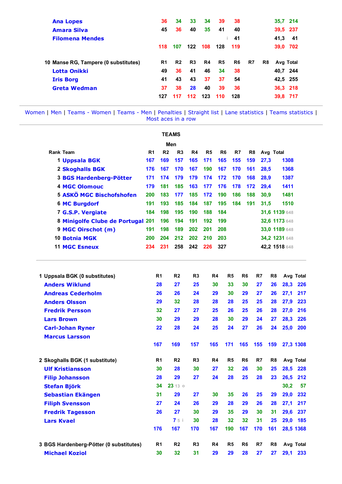| <b>Ana Lopes</b>                     | 36  | 34             | 33  | 34  | 39  | 38  |    |    |      | 35,7 214  |
|--------------------------------------|-----|----------------|-----|-----|-----|-----|----|----|------|-----------|
| <b>Amara Silva</b>                   | 45  | 36             | 40  | 35  | 41  | 40  |    |    |      | 39,5 237  |
| <b>Filomena Mendes</b>               |     |                |     |     |     | 41  |    |    | 41,3 | -41       |
|                                      | 118 | 107            | 122 | 108 | 128 | 119 |    |    | 39,0 | 702       |
| 10 Manse RG, Tampere (0 substitutes) | R1  | R <sub>2</sub> | R3  | R4  | R5  | R6  | R7 | R8 |      | Avg Total |
| Lotta Onikki                         | 49  | 36             | 41  | 46  | 34  | 38  |    |    |      | 40,7 244  |
| <b>Iris Borg</b>                     | 41  | 43             | 43  | 37  | 37  | 54  |    |    |      | 42,5 255  |
| <b>Greta Wedman</b>                  | 37  | 38             | 28  | 40  | 39  | 36  |    |    |      | 36,3 218  |
|                                      | 127 | 117            | 112 | 123 | 110 | 128 |    |    | 39,8 | 717       |

|                                         |                |                | <b>TEAMS</b>   |                |                |                |                |                |                |      |                |           |
|-----------------------------------------|----------------|----------------|----------------|----------------|----------------|----------------|----------------|----------------|----------------|------|----------------|-----------|
|                                         |                |                | Men            |                |                |                |                |                |                |      |                |           |
| <b>Rank Team</b>                        | R <sub>1</sub> | R <sub>2</sub> | R <sub>3</sub> | R4             | R <sub>5</sub> | R <sub>6</sub> | R <sub>7</sub> |                | R <sub>8</sub> |      | Avg Total      |           |
| 1 Uppsala BGK                           | 167            | 169            | 157            | 165            | 171            | 165            | 155            |                | 159            | 27,3 | 1308           |           |
| 2 Skoghalls BGK                         | 176            | 167            | 170            | 167            | 190            | 167            | 170            |                | 161            | 28,5 | 1368           |           |
| <b>3 BGS Hardenberg-Pötter</b>          | 171            | 174            | 179            | 179            | 174            | 172            | 170            |                | 168            | 28,9 | 1387           |           |
| <b>4 MGC Olomouc</b>                    | 179            | 181            | 185            | 163            | 177            | 176            | 178            |                | 172            | 29,4 | 1411           |           |
| <b>5 ASKÖ MGC Bischofshofen</b>         | 200            | 183            | 177            | 185            | 172            | 190            | 186            |                | 188            | 30,9 | 1481           |           |
| <b>6 MC Burgdorf</b>                    | 191            | 193            | 185            | 184            | 187            | 195            | 184            |                | 191            | 31,5 | 1510           |           |
| 7 G.S.P. Vergiate                       | 184            | 198            | 195            | 190            | 188            | 184            |                |                |                |      | 31,6 1139 648  |           |
| 8 Minigolfe Clube de Portugal 201       |                | 196            | 194            | 191            | 192            | 199            |                |                |                |      | 32,6 1173 648  |           |
| 9 MGC Oirschot (m)                      | 191            | 198            | 189            | 202            | 201            | 208            |                |                |                |      | 33,0 1189 648  |           |
| 10 Botnia MGK                           | 200            | 204            | 212            | 202            | 210            | 203            |                |                |                |      | 34,2 1231 648  |           |
| <b>11 MGC Esneux</b>                    | 234            | 231            | 258            | 242            | 226            | 327            |                |                |                |      | 42,2 1518 648  |           |
| 1 Uppsala BGK (0 substitutes)           |                | R <sub>1</sub> | R <sub>2</sub> | R <sub>3</sub> |                | R4             | R <sub>5</sub> | R <sub>6</sub> | R7             |      | R <sub>8</sub> | Avg Total |
| <b>Anders Wiklund</b>                   |                | 28             | 27             | 25             |                | 30             | 33             | 30             | 27             |      | 28,3<br>26     | 226       |
| <b>Andreas Cederholm</b>                |                | 26             | 26             | 24             |                | 29             | 30             | 29             | 27             |      | 26<br>27,1     | 217       |
| <b>Anders Olsson</b>                    |                | 29             | 32             | 28             |                | 28             | 28             | 25             | 25             |      | 28<br>27,9     | 223       |
| <b>Fredrik Persson</b>                  |                | 32             | 27             | 27             |                | 25             | 26             | 25             | 26             |      | 28<br>27,0     | 216       |
| <b>Lars Brown</b>                       |                | 30             | 29             | 29             |                | 28             | 30             | 29             | 24             |      | 28,3<br>27     | 226       |
| <b>Carl-Johan Ryner</b>                 |                | 22             | 28             | 24             |                | 25             | 24             | 27             | 26             |      | 24<br>25,0     | 200       |
| <b>Marcus Larsson</b>                   |                |                |                |                |                |                |                |                |                |      |                |           |
|                                         |                | 167            | 169            | 157            | 165            |                | 171            | 165            | 155            |      | 159            | 27,3 1308 |
| 2 Skoghalls BGK (1 substitute)          |                | R <sub>1</sub> | R <sub>2</sub> | R3             |                | R4             | R <sub>5</sub> | R <sub>6</sub> | R7             |      | R <sub>8</sub> | Avg Total |
| <b>Ulf Kristiansson</b>                 |                | 30             | 28             | 30             |                | 27             | 32             | 26             | 30             |      | 28,5<br>25     | 228       |
| <b>Filip Johansson</b>                  |                | 28             | 29             | 27             |                | 24             | 28             | 25             | 28             |      | 26,5<br>23     | 212       |
| <b>Stefan Björk</b>                     |                | 34             | 23130          |                |                |                |                |                |                |      | 30,2           | 57        |
| Sebastian Ekängen                       |                | 31             | 29             | 27             |                | 30             | 35             | 26             | 25             |      | 29             | 29,0 232  |
| <b>Filiph Svensson</b>                  |                | 27             | 24             | 26             |                | 29             | 28             | 29             | 26             |      | 27,1<br>28     | 217       |
| <b>Fredrik Tagesson</b>                 |                | 26             | 27             | 30             |                | 29             | 35             | 29             | 30             |      | 29,6<br>31     | 237       |
| <b>Lars Kvael</b>                       |                |                | 7 5 i          | 30             |                | 28             | 32             | 32             | 31             |      | 29,0<br>25     | 185       |
|                                         |                | 176            | 167            | 170            | 167            |                | 190            | 167            | 170            |      | 161            | 28,5 1368 |
| 3 BGS Hardenberg-Pötter (0 substitutes) |                | R <sub>1</sub> | R <sub>2</sub> | R <sub>3</sub> |                | R4             | R <sub>5</sub> | R <sub>6</sub> | R7             |      | R <sub>8</sub> | Avg Total |
| <b>Michael Koziol</b>                   |                | 30             | 32             | 31             |                | 29             | 29             | 28             | 27             |      | 27             | 29,1 233  |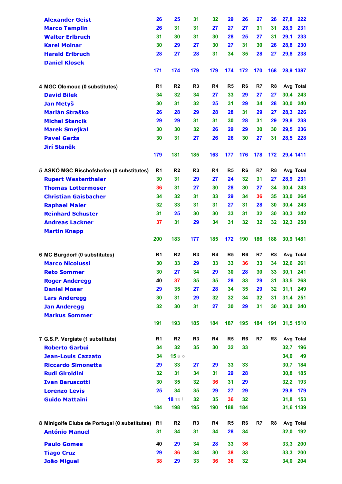| <b>Alexander Geist</b>                        | 26             | 25             | 31             | 32  | 29             | 26             | 27  | 26             | 27,8      | 222       |
|-----------------------------------------------|----------------|----------------|----------------|-----|----------------|----------------|-----|----------------|-----------|-----------|
| <b>Marco Templin</b>                          | 26             | 31             | 31             | 27  | 27             | 27             | 31  | 31             | 28,9      | 231       |
| <b>Walter Erlbruch</b>                        | 31             | 30             | 31             | 30  | 28             | 25             | 27  | 31             | 29,1      | 233       |
| <b>Karel Molnar</b>                           | 30             | 29             | 27             | 30  | 27             | 31             | 30  | 26             | 28,8      | 230       |
| <b>Harald Erlbruch</b>                        | 28             | 27             | 28             | 31  | 34             | 35             | 28  | 27             | 29,8      | 238       |
| <b>Daniel Klosek</b>                          |                |                |                |     |                |                |     |                |           |           |
|                                               | 171            | 174            | 179            | 179 | 174            | 172            | 170 | 168            |           | 28,9 1387 |
|                                               |                |                |                |     |                |                |     |                |           |           |
| 4 MGC Olomouc (0 substitutes)                 | R <sub>1</sub> | R <sub>2</sub> | R <sub>3</sub> | R4  | R <sub>5</sub> | R <sub>6</sub> | R7  | R <sub>8</sub> |           | Avg Total |
| <b>David Bilek</b>                            | 34             | 32             | 34             | 27  | 33             | 29             | 27  | 27             | 30,4      | 243       |
| Jan Metyš                                     | 30             | 31             | 32             | 25  | 31             | 29             | 34  | 28             | 30,0      | 240       |
| <b>Marián Straško</b>                         | 26             | 28             | 29             | 28  | 28             | 31             | 29  | 27             | 28,3      | 226       |
| <b>Michal Stancik</b>                         | 29             | 29             | 31             | 31  | 30             | 28             | 31  | 29             | 29,8      | 238       |
| <b>Marek Smejkal</b>                          | 30             | 30             | 32             | 26  | 29             | 29             | 30  | 30             | 29,5      | 236       |
| <b>Pavel Gerža</b>                            | 30             | 31             | 27             | 26  | 26             | 30             | 27  | 31             | 28,5      | 228       |
| <b>Jirí Stanêk</b>                            |                |                |                |     |                |                |     |                |           |           |
|                                               | 179            | 181            | 185            | 163 | 177            | 176            | 178 | 172            | 29,4 1411 |           |
| 5 ASKÖ MGC Bischofshofen (0 substitutes)      | R1             | R <sub>2</sub> | R <sub>3</sub> | R4  | R <sub>5</sub> | R6             | R7  | R8             |           | Avg Total |
| <b>Rupert Westenthaler</b>                    | 30             | 31             | 29             | 27  | 24             | 32             | 31  | 27             | 28,9      | 231       |
| <b>Thomas Lottermoser</b>                     | 36             | 31             | 27             | 30  | 28             | 30             | 27  | 34             | 30,4      | 243       |
| <b>Christian Gaisbacher</b>                   | 34             | 32             | 31             | 33  | 29             | 34             | 36  | 35             | 33,0      | 264       |
| <b>Raphael Maier</b>                          | 32             | 33             | 31             | 31  | 27             | 31             | 28  | 30             | 30,4      | 243       |
| <b>Reinhard Schuster</b>                      | 31             | 25             | 30             | 30  | 33             | 31             | 32  | 30             | 30,3      | 242       |
| <b>Andreas Lackner</b>                        | 37             | 31             | 29             | 34  | 31             | 32             | 32  | 32             |           | 32,3 258  |
| <b>Martin Knapp</b>                           |                |                |                |     |                |                |     |                |           |           |
|                                               | 200            | 183            | 177            | 185 | 172            | 190            | 186 | 188            | 30,9 1481 |           |
| 6 MC Burgdorf (0 substitutes)                 | R <sub>1</sub> | R <sub>2</sub> | R <sub>3</sub> | R4  | R <sub>5</sub> | R <sub>6</sub> | R7  | R <sub>8</sub> |           | Avg Total |
| <b>Marco Nicolussi</b>                        | 30             | 33             | 29             | 33  | 33             | 36             | 33  | 34             |           | 32,6 261  |
|                                               | 30             | 27             | 34             | 29  | 30             | 28             | 30  | 33             |           | 30,1 241  |
| <b>Reto Sommer</b><br><b>Roger Anderegg</b>   | 40             | 37             | 35             | 35  | 28             | 33             | 29  | 31             | 33,5      | 268       |
| <b>Daniel Moser</b>                           | 29             | 35             | 27             | 28  | 34             | 35             | 29  | 32             | 31,1      | 249       |
|                                               | 30             | 31             | 29             | 32  | 32             | 34             | 32  | 31             | 31,4      | 251       |
| <b>Lars Anderegg</b>                          | 32             | 30             | 31             | 27  | 30             | 29             | 31  | 30             | 30,0      | 240       |
| <b>Jan Anderegg</b><br><b>Markus Sommer</b>   |                |                |                |     |                |                |     |                |           |           |
|                                               | 191            | 193            | 185            | 184 | 187            | 195            | 184 | 191            |           | 31,5 1510 |
|                                               |                |                |                |     |                |                |     |                |           |           |
| 7 G.S.P. Vergiate (1 substitute)              | R <sub>1</sub> | R <sub>2</sub> | R <sub>3</sub> | R4  | R <sub>5</sub> | R <sub>6</sub> | R7  | R <sub>8</sub> |           | Avg Total |
| <b>Roberto Garbui</b>                         | 34             | 32             | 35             | 30  | 32             | 33             |     |                | 32,7      | 196       |
| <b>Jean-Louis Cazzato</b>                     | 34             | 1560           |                |     |                |                |     |                | 34,0      | 49        |
| <b>Riccardo Simonetta</b>                     | 29             | 33             | 27             | 29  | 33             | 33             |     |                | 30,7      | 184       |
| <b>Rudi Giroldini</b>                         | 32             | 31             | 34             | 31  | 29             | 28             |     |                | 30,8      | 185       |
| <b>Ivan Baruscotti</b>                        | 30             | 35             | 32             | 36  | 31             | 29             |     |                | 32,2      | 193       |
| <b>Lorenzo Levis</b>                          | 25             | 34             | 35             | 29  | 27             | 29             |     |                | 29,8      | 179       |
| <b>Guido Mattaini</b>                         |                | 18 13 i        | 32             | 35  | 36             | 32             |     |                | 31,8      | 153       |
|                                               | 184            | 198            | 195            | 190 | 188            | 184            |     |                |           | 31,6 1139 |
| 8 Minigolfe Clube de Portugal (0 substitutes) | R1             | R <sub>2</sub> | R <sub>3</sub> | R4  | R <sub>5</sub> | R <sub>6</sub> | R7  | R8             |           | Avg Total |
| <b>António Manuel</b>                         | 31             | 34             | 31             | 34  | 28             | 34             |     |                | 32,0      | 192       |
| <b>Paulo Gomes</b>                            | 40             | 29             | 34             | 28  | 33             | 36             |     |                | 33,3      | 200       |
| <b>Tiago Cruz</b>                             | 29             | 36             | 34             | 30  | 38             | 33             |     |                | 33,3      | 200       |
| <b>João Miguel</b>                            | 38             | 29             | 33             | 36  | 36             | 32             |     |                | 34,0      | 204       |